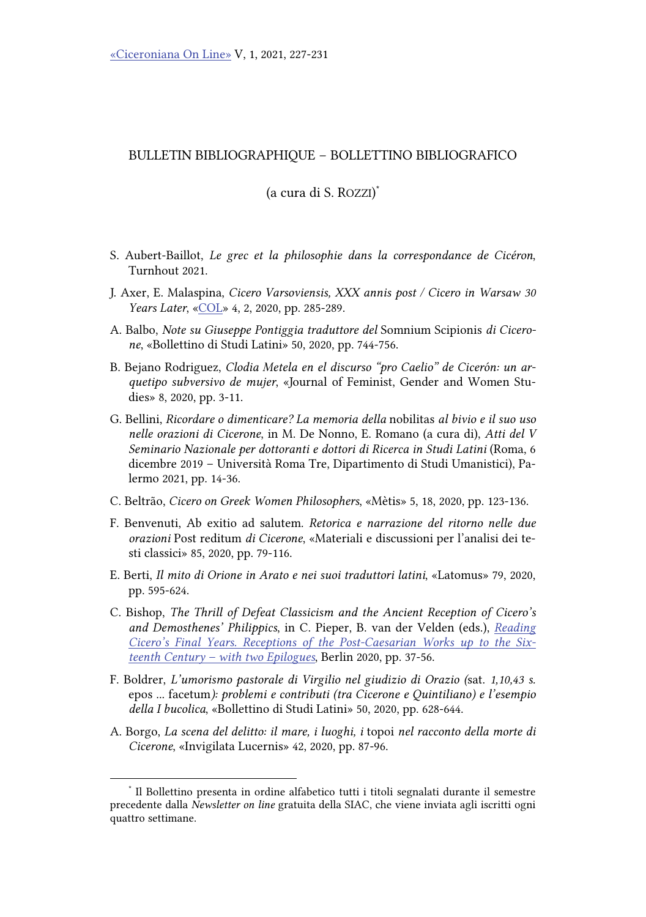## BULLETIN BIBLIOGRAPHIQUE – BOLLETTINO BIBLIOGRAFICO

(a cura di S. ROZZI) \*

- S. Aubert-Baillot, Le grec et la philosophie dans la correspondance de Cicéron, Turnhout 2021.
- J. Axer, E. Malaspina, Cicero Varsoviensis, XXX annis post / Cicero in Warsaw 30 Years Later, [«COL»](https://www.ojs.unito.it/index.php/COL/issue/view/486) 4, 2, 2020, pp. 285-289.
- A. Balbo, Note su Giuseppe Pontiggia traduttore del Somnium Scipionis di Cicerone, «Bollettino di Studi Latini» 50, 2020, pp. 744-756.
- B. Bejano Rodriguez, Clodia Metela en el discurso "pro Caelio" de Cicerón: un arquetipo subversivo de mujer, «Journal of Feminist, Gender and Women Studies» 8, 2020, pp. 3-11.
- G. Bellini, Ricordare o dimenticare? La memoria della nobilitas al bivio e il suo uso nelle orazioni di Cicerone, in M. De Nonno, E. Romano (a cura di), Atti del V Seminario Nazionale per dottoranti e dottori di Ricerca in Studi Latini (Roma, 6 dicembre 2019 – Università Roma Tre, Dipartimento di Studi Umanistici), Palermo 2021, pp. 14-36.
- C. Beltrão, Cicero on Greek Women Philosophers, «Mètis» 5, 18, 2020, pp. 123-136.
- F. Benvenuti, Ab exitio ad salutem. Retorica e narrazione del ritorno nelle due orazioni Post reditum di Cicerone, «Materiali e discussioni per l'analisi dei testi classici» 85, 2020, pp. 79-116.
- E. Berti, Il mito di Orione in Arato e nei suoi traduttori latini, «Latomus» 79, 2020, pp. 595-624.
- C. Bishop, The Thrill of Defeat Classicism and the Ancient Reception of Cicero's and Demosthenes' Philippics, in C. Pieper, B. van der Velden (eds.), Reading [Cicero's Final Years. Receptions of the Post-Caesarian Works up to the Six](https://www.degruyter.com/document/doi/10.1515/9783110716313/html)teenth Century – with two Epilogues, Berlin 2020, pp. 37-56.
- F. Boldrer, L'umorismo pastorale di Virgilio nel giudizio di Orazio (sat. 1,10,43 s. epos ... facetum): problemi e contributi (tra Cicerone e Quintiliano) e l'esempio della I bucolica, «Bollettino di Studi Latini» 50, 2020, pp. 628-644.
- A. Borgo, La scena del delitto: il mare, i luoghi, i topoi nel racconto della morte di Cicerone, «Invigilata Lucernis» 42, 2020, pp. 87-96.

<sup>\*</sup> Il Bollettino presenta in ordine alfabetico tutti i titoli segnalati durante il semestre precedente dalla Newsletter on line gratuita della SIAC, che viene inviata agli iscritti ogni quattro settimane.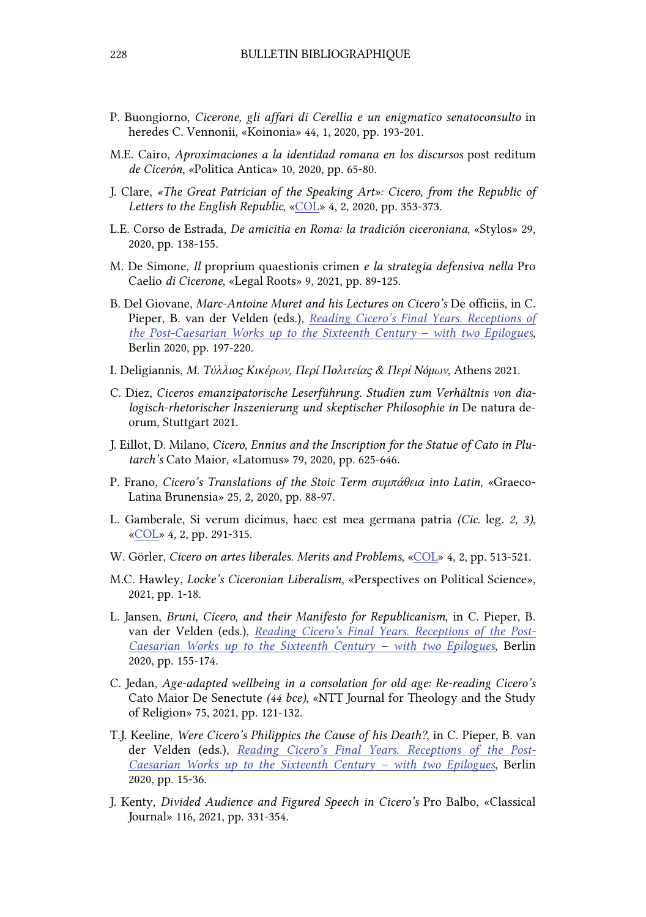- P. Buongiorno, Cicerone, gli affari di Cerellia e un enigmatico senatoconsulto in heredes C. Vennonii, «Koinonia» 44, 1, 2020, pp. 193-201.
- M.E. Cairo, Aproximaciones a la identidad romana en los discursos post reditum de Cicerón, «Politica Antica» 10, 2020, pp. 65-80.
- J. Clare, «The Great Patrician of the Speaking Art»: Cicero, from the Republic of Letters to the English Republic, [«COL»](https://www.ojs.unito.it/index.php/COL/issue/view/486) 4, 2, 2020, pp. 353-373.
- L.E. Corso de Estrada, De amicitia en Roma: la tradición ciceroniana, «Stylos» 29, 2020, pp. 138-155.
- M. De Simone, Il proprium quaestionis crimen e la strategia defensiva nella Pro Caelio di Cicerone, «Legal Roots» 9, 2021, pp. 89-125.
- B. Del Giovane, Marc-Antoine Muret and his Lectures on Cicero's De officiis, in C. Pieper, B. van der Velden (eds.), Reading Cicero's Final Years. Receptions of [the Post-Caesarian Works up to the Sixteenth Century – with two Epilogues](https://www.degruyter.com/document/doi/10.1515/9783110716313/html), Berlin 2020, pp. 197-220.
- I. Deligiannis, Μ. Τύλλιος Κικέρων, Περί Πολιτείας & Περί Νόμων, Athens 2021.
- C. Diez, Ciceros emanzipatorische Leserführung. Studien zum Verhältnis von dialogisch-rhetorischer Inszenierung und skeptischer Philosophie in De natura deorum, Stuttgart 2021.
- J. Eillot, D. Milano, Cicero, Ennius and the Inscription for the Statue of Cato in Plutarch's Cato Maior, «Latomus» 79, 2020, pp. 625-646.
- P. Frano, Cicero's Translations of the Stoic Term συμπάθεια into Latin, «Graeco-Latina Brunensia» 25, 2, 2020, pp. 88-97.
- L. Gamberale, Si verum dicimus, haec est mea germana patria (Cic. leg. 2, 3), [«COL»](https://www.ojs.unito.it/index.php/COL/issue/view/486) 4, 2, pp. 291-315.
- W. Görler, Cicero on artes liberales. Merits and Problems[, «COL»](https://www.ojs.unito.it/index.php/COL/issue/view/486) 4, 2, pp. 513-521.
- M.C. Hawley, Locke's Ciceronian Liberalism, «Perspectives on Political Science», 2021, pp. 1-18.
- L. Jansen, Bruni, Cicero, and their Manifesto for Republicanism, in C. Pieper, B. van der Velden (eds.), Reading Cicero's Final Years. Receptions of the Post-[Caesarian Works up to the Sixteenth Century – with two Epilogues](https://www.degruyter.com/document/doi/10.1515/9783110716313/html), Berlin 2020, pp. 155-174.
- C. Jedan, Age-adapted wellbeing in a consolation for old age: Re-reading Cicero's Cato Maior De Senectute (44 bce), «NTT Journal for Theology and the Study of Religion» 75, 2021, pp. 121-132.
- T.J. Keeline, Were Cicero's Philippics the Cause of his Death?, in C. Pieper, B. van der Velden (eds.), Reading Cicero's Final Years. Receptions of the Post-[Caesarian Works up to the Sixteenth Century – with two Epilogues](https://www.degruyter.com/document/doi/10.1515/9783110716313/html), Berlin 2020, pp. 15-36.
- J. Kenty, Divided Audience and Figured Speech in Cicero's Pro Balbo, «Classical Journal» 116, 2021, pp. 331-354.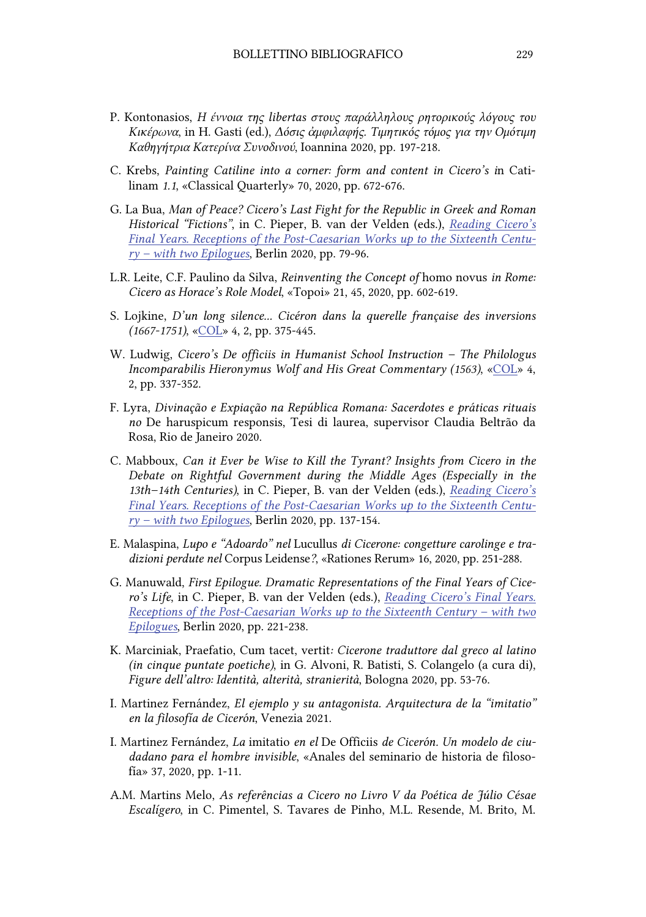- P. Kontonasios, Η έννοια της libertas στους παράλληλους ρητορικούς λόγους του Κικέρωνα, in H. Gasti (ed.), Δόσις ἀμφιλαφής. Τιμητικός τόμος για την Ομότιμη Καθηγήτρια Κατερίνα Συνοδινού, Ιoannina 2020, pp. 197-218.
- C. Krebs, Painting Catiline into a corner: form and content in Cicero's in Catilinam 1.1, «Classical Quarterly» 70, 2020, pp. 672-676.
- G. La Bua, Man of Peace? Cicero's Last Fight for the Republic in Greek and Roman Historical "Fictions", in C. Pieper, B. van der Velden (eds.), Reading Cicero's [Final Years. Receptions of the Post-Caesarian Works up to the Sixteenth Centu](https://www.degruyter.com/document/doi/10.1515/9783110716313/html) $ry - with two Epilogues, Berlin 2020, pp. 79-96.$
- L.R. Leite, C.F. Paulino da Silva, Reinventing the Concept of homo novus in Rome: Cicero as Horace's Role Model, «Topoi» 21, 45, 2020, pp. 602-619.
- S. Lojkine, D'un long silence... Cicéron dans la querelle française des inversions (1667-1751), [«COL» 4](https://www.ojs.unito.it/index.php/COL/issue/view/486), 2, pp. 375-445.
- W. Ludwig, Cicero's De officiis in Humanist School Instruction The Philologus Incomparabilis Hieronymus Wolf and His Great Commentary (1563), [«COL» 4](https://www.ojs.unito.it/index.php/COL/issue/view/486), 2, pp. 337-352.
- F. Lyra, Divinação e Expiação na República Romana: Sacerdotes e práticas rituais no De haruspicum responsis, Tesi di laurea, supervisor Claudia Beltrão da Rosa, Rio de Janeiro 2020.
- C. Mabboux, Can it Ever be Wise to Kill the Tyrant? Insights from Cicero in the Debate on Rightful Government during the Middle Ages (Especially in the 13th–14th Centuries), in C. Pieper, B. van der Velden (eds.), Reading Cicero's [Final Years. Receptions of the Post-Caesarian Works up to the Sixteenth Centu](https://www.degruyter.com/document/doi/10.1515/9783110716313/html) $ry - with two Epilogues, Berlin 2020, pp. 137-154.$
- E. Malaspina, Lupo e "Adoardo" nel Lucullus di Cicerone: congetture carolinge e tradizioni perdute nel Corpus Leidense?, «Rationes Rerum» 16, 2020, pp. 251-288.
- G. Manuwald, First Epilogue. Dramatic Representations of the Final Years of Cicero's Life, in C. Pieper, B. van der Velden (eds.), Reading Cicero's Final Years. [Receptions of the Post-Caesarian Works up to the Sixteenth Century – with two](https://www.degruyter.com/document/doi/10.1515/9783110716313/html)  Epilogues, Berlin 2020, pp. 221-238.
- K. Marciniak, Praefatio, Cum tacet, vertit: Cicerone traduttore dal greco al latino (in cinque puntate poetiche), in G. Alvoni, R. Batisti, S. Colangelo (a cura di), Figure dell'altro: Identità, alterità, stranierità, Bologna 2020, pp. 53-76.
- I. Martinez Fernández, El ejemplo y su antagonista. Arquitectura de la "imitatio" en la filosofía de Cicerón, Venezia 2021.
- I. Martinez Fernández, La imitatio en el De Officiis de Cicerón. Un modelo de ciudadano para el hombre invisible, «Anales del seminario de historia de filosofía» 37, 2020, pp. 1-11.
- A.M. Martins Melo, As referências a Cicero no Livro V da Poética de Júlio Césae Escalígero, in C. Pimentel, S. Tavares de Pinho, M.L. Resende, M. Brito, M.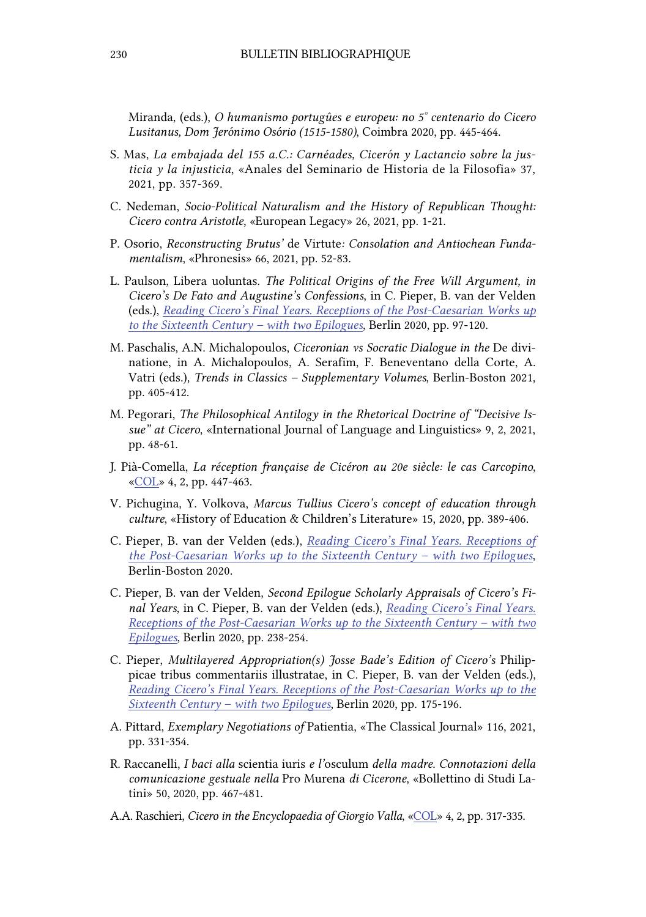Miranda, (eds.), O humanismo portugûes e europeu: no 5° centenario do Cicero Lusitanus, Dom Jerónimo Osório (1515-1580), Coimbra 2020, pp. 445-464.

- S. Mas, La embajada del 155 a.C.: Carnéades, Cicerón y Lactancio sobre la justicia y la injusticia, «Anales del Seminario de Historia de la Filosofia» 37, 2021, pp. 357-369.
- C. Nedeman, Socio-Political Naturalism and the History of Republican Thought: Cicero contra Aristotle, «European Legacy» 26, 2021, pp. 1-21.
- P. Osorio, Reconstructing Brutus' de Virtute: Consolation and Antiochean Fundamentalism, «Phronesis» 66, 2021, pp. 52-83.
- L. Paulson, Libera uoluntas. The Political Origins of the Free Will Argument, in Cicero's De Fato and Augustine's Confessions, in C. Pieper, B. van der Velden (eds.), Reading Cicero's Final Years. Receptions of the Post-Caesarian Works up to the Sixteenth Century – with two Epilogues, Berlin 2020, pp. 97-120.
- M. Paschalis, A.N. Michalopoulos, Ciceronian vs Socratic Dialogue in the De divinatione, in A. Michalopoulos, A. Serafim, F. Beneventano della Corte, A. Vatri (eds.), Trends in Classics – Supplementary Volumes, Berlin-Boston 2021, pp. 405-412.
- M. Pegorari, The Philosophical Antilogy in the Rhetorical Doctrine of "Decisive Issue" at Cicero, «International Journal of Language and Linguistics» 9, 2, 2021, pp. 48-61.
- J. Pià-Comella, La réception française de Cicéron au 20e siècle: le cas Carcopino, [«COL»](https://www.ojs.unito.it/index.php/COL/issue/view/486) 4, 2, pp. 447-463.
- V. Pichugina, Y. Volkova, Marcus Tullius Cicero's concept of education through culture, «History of Education & Children's Literature» 15, 2020, pp. 389-406.
- C. Pieper, B. van der Velden (eds.), Reading Cicero's Final Years. Receptions of [the Post-Caesarian Works up to the Sixteenth Century – with two Epilogues](https://www.degruyter.com/document/doi/10.1515/9783110716313/html), Berlin-Boston 2020.
- C. Pieper, B. van der Velden, Second Epilogue Scholarly Appraisals of Cicero's Final Years, in C. Pieper, B. van der Velden (eds.), Reading Cicero's Final Years. Receptions of the Post-Caesarian Works up to the Sixteenth Century – with two Epilogues, Berlin 2020, pp. 238-254.
- C. Pieper, Multilayered Appropriation(s) Josse Bade's Edition of Cicero's Philippicae tribus commentariis illustratae, in C. Pieper, B. van der Velden (eds.), [Reading Cicero's Final Years. Receptions of the Post-Caesarian Works up to the](https://www.degruyter.com/document/doi/10.1515/9783110716313/html)  Sixteenth Century – with two Epilogues, Berlin 2020, pp. 175-196.
- A. Pittard, Exemplary Negotiations of Patientia, «The Classical Journal» 116, 2021, pp. 331-354.
- R. Raccanelli, I baci alla scientia iuris e l'osculum della madre. Connotazioni della comunicazione gestuale nella Pro Murena di Cicerone, «Bollettino di Studi Latini» 50, 2020, pp. 467-481.
- A.A. Raschieri, Cicero in the Encyclopaedia of Giorgio Valla, [«COL»](https://www.ojs.unito.it/index.php/COL/issue/view/486) 4, 2, pp. 317-335.